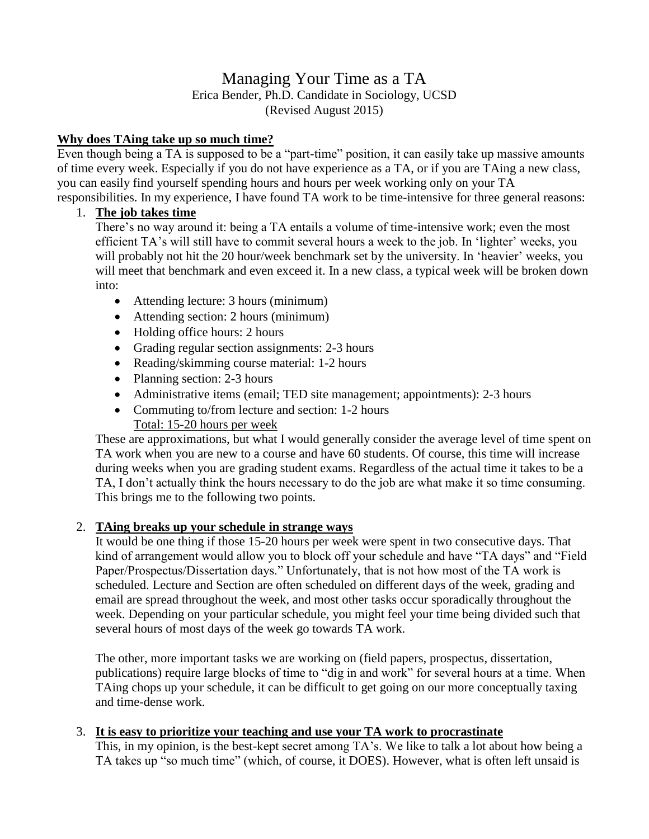# Managing Your Time as a TA Erica Bender, Ph.D. Candidate in Sociology, UCSD (Revised August 2015)

## **Why does TAing take up so much time?**

Even though being a TA is supposed to be a "part-time" position, it can easily take up massive amounts of time every week. Especially if you do not have experience as a TA, or if you are TAing a new class, you can easily find yourself spending hours and hours per week working only on your TA responsibilities. In my experience, I have found TA work to be time-intensive for three general reasons:

## 1. **The job takes time**

There's no way around it: being a TA entails a volume of time-intensive work; even the most efficient TA's will still have to commit several hours a week to the job. In 'lighter' weeks, you will probably not hit the 20 hour/week benchmark set by the university. In 'heavier' weeks, you will meet that benchmark and even exceed it. In a new class, a typical week will be broken down into:

- Attending lecture: 3 hours (minimum)
- Attending section: 2 hours (minimum)
- Holding office hours: 2 hours
- Grading regular section assignments: 2-3 hours
- Reading/skimming course material: 1-2 hours
- Planning section: 2-3 hours
- Administrative items (email; TED site management; appointments): 2-3 hours
- Commuting to/from lecture and section: 1-2 hours Total: 15-20 hours per week

These are approximations, but what I would generally consider the average level of time spent on TA work when you are new to a course and have 60 students. Of course, this time will increase during weeks when you are grading student exams. Regardless of the actual time it takes to be a TA, I don't actually think the hours necessary to do the job are what make it so time consuming. This brings me to the following two points.

#### 2. **TAing breaks up your schedule in strange ways**

It would be one thing if those 15-20 hours per week were spent in two consecutive days. That kind of arrangement would allow you to block off your schedule and have "TA days" and "Field Paper/Prospectus/Dissertation days." Unfortunately, that is not how most of the TA work is scheduled. Lecture and Section are often scheduled on different days of the week, grading and email are spread throughout the week, and most other tasks occur sporadically throughout the week. Depending on your particular schedule, you might feel your time being divided such that several hours of most days of the week go towards TA work.

The other, more important tasks we are working on (field papers, prospectus, dissertation, publications) require large blocks of time to "dig in and work" for several hours at a time. When TAing chops up your schedule, it can be difficult to get going on our more conceptually taxing and time-dense work.

#### 3. **It is easy to prioritize your teaching and use your TA work to procrastinate**

This, in my opinion, is the best-kept secret among TA's. We like to talk a lot about how being a TA takes up "so much time" (which, of course, it DOES). However, what is often left unsaid is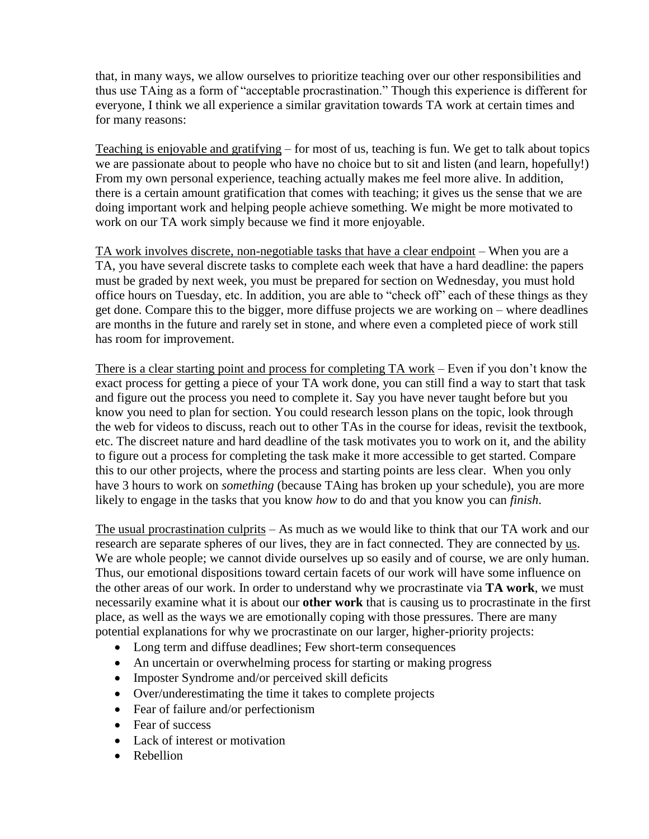that, in many ways, we allow ourselves to prioritize teaching over our other responsibilities and thus use TAing as a form of "acceptable procrastination." Though this experience is different for everyone, I think we all experience a similar gravitation towards TA work at certain times and for many reasons:

Teaching is enjoyable and gratifying – for most of us, teaching is fun. We get to talk about topics we are passionate about to people who have no choice but to sit and listen (and learn, hopefully!) From my own personal experience, teaching actually makes me feel more alive. In addition, there is a certain amount gratification that comes with teaching; it gives us the sense that we are doing important work and helping people achieve something. We might be more motivated to work on our TA work simply because we find it more enjoyable.

TA work involves discrete, non-negotiable tasks that have a clear endpoint – When you are a TA, you have several discrete tasks to complete each week that have a hard deadline: the papers must be graded by next week, you must be prepared for section on Wednesday, you must hold office hours on Tuesday, etc. In addition, you are able to "check off" each of these things as they get done. Compare this to the bigger, more diffuse projects we are working on – where deadlines are months in the future and rarely set in stone, and where even a completed piece of work still has room for improvement.

There is a clear starting point and process for completing TA work – Even if you don't know the exact process for getting a piece of your TA work done, you can still find a way to start that task and figure out the process you need to complete it. Say you have never taught before but you know you need to plan for section. You could research lesson plans on the topic, look through the web for videos to discuss, reach out to other TAs in the course for ideas, revisit the textbook, etc. The discreet nature and hard deadline of the task motivates you to work on it, and the ability to figure out a process for completing the task make it more accessible to get started. Compare this to our other projects, where the process and starting points are less clear. When you only have 3 hours to work on *something* (because TAing has broken up your schedule), you are more likely to engage in the tasks that you know *how* to do and that you know you can *finish*.

The usual procrastination culprits – As much as we would like to think that our TA work and our research are separate spheres of our lives, they are in fact connected. They are connected by us. We are whole people; we cannot divide ourselves up so easily and of course, we are only human. Thus, our emotional dispositions toward certain facets of our work will have some influence on the other areas of our work. In order to understand why we procrastinate via **TA work**, we must necessarily examine what it is about our **other work** that is causing us to procrastinate in the first place, as well as the ways we are emotionally coping with those pressures. There are many potential explanations for why we procrastinate on our larger, higher-priority projects:

- Long term and diffuse deadlines; Few short-term consequences
- An uncertain or overwhelming process for starting or making progress
- Imposter Syndrome and/or perceived skill deficits
- Over/underestimating the time it takes to complete projects
- Fear of failure and/or perfectionism
- Fear of success
- Lack of interest or motivation
- Rebellion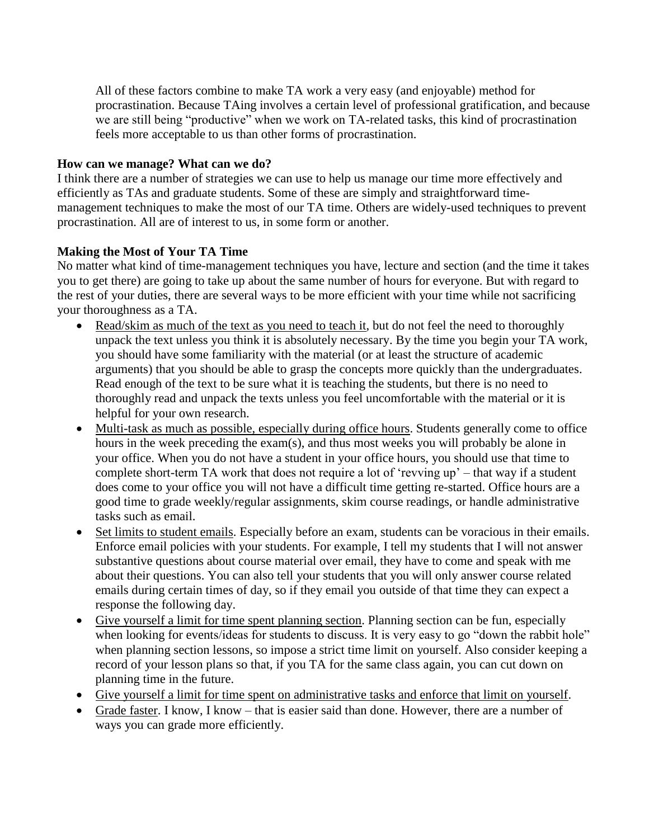All of these factors combine to make TA work a very easy (and enjoyable) method for procrastination. Because TAing involves a certain level of professional gratification, and because we are still being "productive" when we work on TA-related tasks, this kind of procrastination feels more acceptable to us than other forms of procrastination.

#### **How can we manage? What can we do?**

I think there are a number of strategies we can use to help us manage our time more effectively and efficiently as TAs and graduate students. Some of these are simply and straightforward timemanagement techniques to make the most of our TA time. Others are widely-used techniques to prevent procrastination. All are of interest to us, in some form or another.

## **Making the Most of Your TA Time**

No matter what kind of time-management techniques you have, lecture and section (and the time it takes you to get there) are going to take up about the same number of hours for everyone. But with regard to the rest of your duties, there are several ways to be more efficient with your time while not sacrificing your thoroughness as a TA.

- Read/skim as much of the text as you need to teach it, but do not feel the need to thoroughly unpack the text unless you think it is absolutely necessary. By the time you begin your TA work, you should have some familiarity with the material (or at least the structure of academic arguments) that you should be able to grasp the concepts more quickly than the undergraduates. Read enough of the text to be sure what it is teaching the students, but there is no need to thoroughly read and unpack the texts unless you feel uncomfortable with the material or it is helpful for your own research.
- Multi-task as much as possible, especially during office hours. Students generally come to office hours in the week preceding the exam(s), and thus most weeks you will probably be alone in your office. When you do not have a student in your office hours, you should use that time to complete short-term TA work that does not require a lot of 'revving up' – that way if a student does come to your office you will not have a difficult time getting re-started. Office hours are a good time to grade weekly/regular assignments, skim course readings, or handle administrative tasks such as email.
- Set limits to student emails. Especially before an exam, students can be voracious in their emails. Enforce email policies with your students. For example, I tell my students that I will not answer substantive questions about course material over email, they have to come and speak with me about their questions. You can also tell your students that you will only answer course related emails during certain times of day, so if they email you outside of that time they can expect a response the following day.
- Give yourself a limit for time spent planning section. Planning section can be fun, especially when looking for events/ideas for students to discuss. It is very easy to go "down the rabbit hole" when planning section lessons, so impose a strict time limit on yourself. Also consider keeping a record of your lesson plans so that, if you TA for the same class again, you can cut down on planning time in the future.
- Give yourself a limit for time spent on administrative tasks and enforce that limit on yourself.
- Grade faster. I know, I know that is easier said than done. However, there are a number of ways you can grade more efficiently.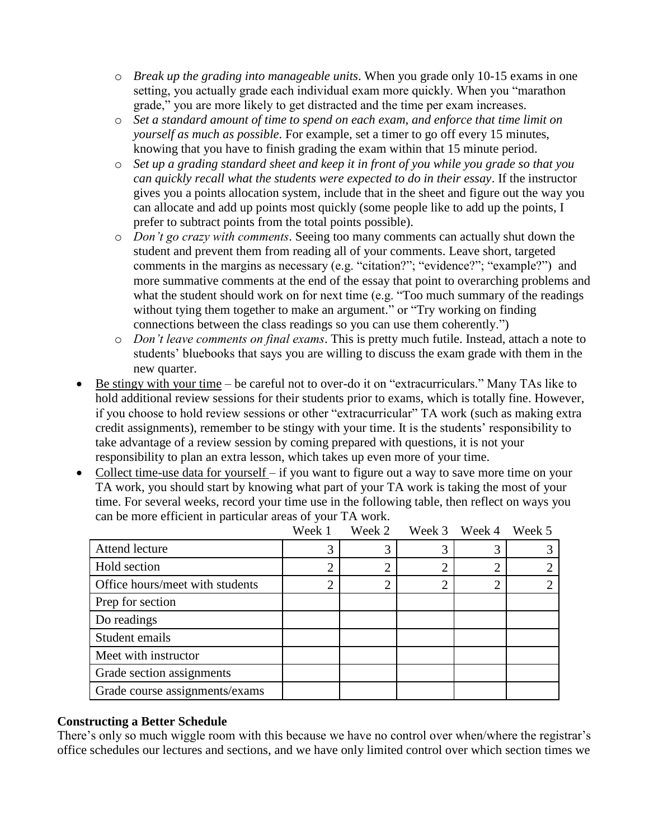- o *Break up the grading into manageable units*. When you grade only 10-15 exams in one setting, you actually grade each individual exam more quickly. When you "marathon grade," you are more likely to get distracted and the time per exam increases.
- o *Set a standard amount of time to spend on each exam, and enforce that time limit on yourself as much as possible*. For example, set a timer to go off every 15 minutes, knowing that you have to finish grading the exam within that 15 minute period.
- o *Set up a grading standard sheet and keep it in front of you while you grade so that you can quickly recall what the students were expected to do in their essay*. If the instructor gives you a points allocation system, include that in the sheet and figure out the way you can allocate and add up points most quickly (some people like to add up the points, I prefer to subtract points from the total points possible).
- o *Don't go crazy with comments*. Seeing too many comments can actually shut down the student and prevent them from reading all of your comments. Leave short, targeted comments in the margins as necessary (e.g. "citation?"; "evidence?"; "example?") and more summative comments at the end of the essay that point to overarching problems and what the student should work on for next time (e.g. "Too much summary of the readings without tying them together to make an argument." or "Try working on finding" connections between the class readings so you can use them coherently.")
- o *Don't leave comments on final exams*. This is pretty much futile. Instead, attach a note to students' bluebooks that says you are willing to discuss the exam grade with them in the new quarter.
- Be stingy with your time be careful not to over-do it on "extracurriculars." Many TAs like to hold additional review sessions for their students prior to exams, which is totally fine. However, if you choose to hold review sessions or other "extracurricular" TA work (such as making extra credit assignments), remember to be stingy with your time. It is the students' responsibility to take advantage of a review session by coming prepared with questions, it is not your responsibility to plan an extra lesson, which takes up even more of your time.
- Collect time-use data for yourself if you want to figure out a way to save more time on your TA work, you should start by knowing what part of your TA work is taking the most of your time. For several weeks, record your time use in the following table, then reflect on ways you can be more efficient in particular areas of your TA work.

|                                 | Week 1         | Week 2 |                | Week 3 Week 4 | Week 5 |
|---------------------------------|----------------|--------|----------------|---------------|--------|
| Attend lecture                  | 3              | 3      | 3              |               |        |
| Hold section                    | $\overline{2}$ | ⌒      | $\overline{2}$ |               |        |
| Office hours/meet with students | $\overline{2}$ | ◠      | ി              |               |        |
| Prep for section                |                |        |                |               |        |
| Do readings                     |                |        |                |               |        |
| Student emails                  |                |        |                |               |        |
| Meet with instructor            |                |        |                |               |        |
| Grade section assignments       |                |        |                |               |        |
| Grade course assignments/exams  |                |        |                |               |        |

#### **Constructing a Better Schedule**

There's only so much wiggle room with this because we have no control over when/where the registrar's office schedules our lectures and sections, and we have only limited control over which section times we